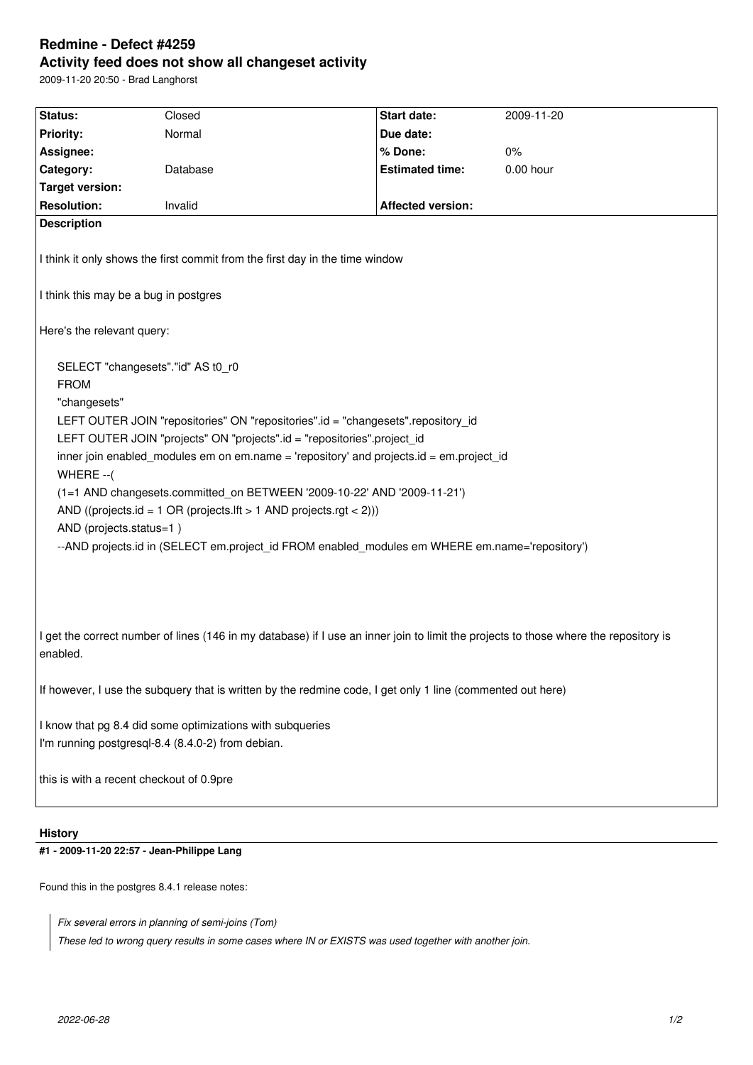# **Redmine - Defect #4259 Activity feed does not show all changeset activity**

2009-11-20 20:50 - Brad Langhorst

| Status:                                                                                                                                                                                                                                                                                                                                                                                                                                                                                                                                                                                                                | Closed   | Start date:              | 2009-11-20 |
|------------------------------------------------------------------------------------------------------------------------------------------------------------------------------------------------------------------------------------------------------------------------------------------------------------------------------------------------------------------------------------------------------------------------------------------------------------------------------------------------------------------------------------------------------------------------------------------------------------------------|----------|--------------------------|------------|
| <b>Priority:</b>                                                                                                                                                                                                                                                                                                                                                                                                                                                                                                                                                                                                       | Normal   | Due date:                |            |
| Assignee:                                                                                                                                                                                                                                                                                                                                                                                                                                                                                                                                                                                                              |          | % Done:                  | 0%         |
| Category:                                                                                                                                                                                                                                                                                                                                                                                                                                                                                                                                                                                                              | Database | <b>Estimated time:</b>   | 0.00 hour  |
| <b>Target version:</b>                                                                                                                                                                                                                                                                                                                                                                                                                                                                                                                                                                                                 |          |                          |            |
| <b>Resolution:</b>                                                                                                                                                                                                                                                                                                                                                                                                                                                                                                                                                                                                     | Invalid  | <b>Affected version:</b> |            |
| <b>Description</b><br>I think it only shows the first commit from the first day in the time window                                                                                                                                                                                                                                                                                                                                                                                                                                                                                                                     |          |                          |            |
| I think this may be a bug in postgres                                                                                                                                                                                                                                                                                                                                                                                                                                                                                                                                                                                  |          |                          |            |
| Here's the relevant query:                                                                                                                                                                                                                                                                                                                                                                                                                                                                                                                                                                                             |          |                          |            |
| SELECT "changesets"."id" AS t0_r0<br><b>FROM</b><br>"changesets"<br>LEFT OUTER JOIN "repositories" ON "repositories".id = "changesets".repository_id<br>LEFT OUTER JOIN "projects" ON "projects".id = "repositories".project_id<br>inner join enabled_modules em on em.name = 'repository' and projects.id = em.project_id<br>WHERE -- (<br>(1=1 AND changesets.committed_on BETWEEN '2009-10-22' AND '2009-11-21')<br>AND ((projects.id = 1 OR (projects.lft > 1 AND projects.rgt < 2)))<br>AND (projects.status=1)<br>--AND projects.id in (SELECT em.project_id FROM enabled_modules em WHERE em.name='repository') |          |                          |            |
| I get the correct number of lines (146 in my database) if I use an inner join to limit the projects to those where the repository is<br>enabled.                                                                                                                                                                                                                                                                                                                                                                                                                                                                       |          |                          |            |
| If however, I use the subquery that is written by the redmine code, I get only 1 line (commented out here)                                                                                                                                                                                                                                                                                                                                                                                                                                                                                                             |          |                          |            |
| I know that pg 8.4 did some optimizations with subqueries<br>I'm running postgresql-8.4 (8.4.0-2) from debian.                                                                                                                                                                                                                                                                                                                                                                                                                                                                                                         |          |                          |            |
| this is with a recent checkout of 0.9pre                                                                                                                                                                                                                                                                                                                                                                                                                                                                                                                                                                               |          |                          |            |

## **History**

## **#1 - 2009-11-20 22:57 - Jean-Philippe Lang**

Found this in the postgres 8.4.1 release notes:

*Fix several errors in planning of semi-joins (Tom)*

*These led to wrong query results in some cases where IN or EXISTS was used together with another join.*